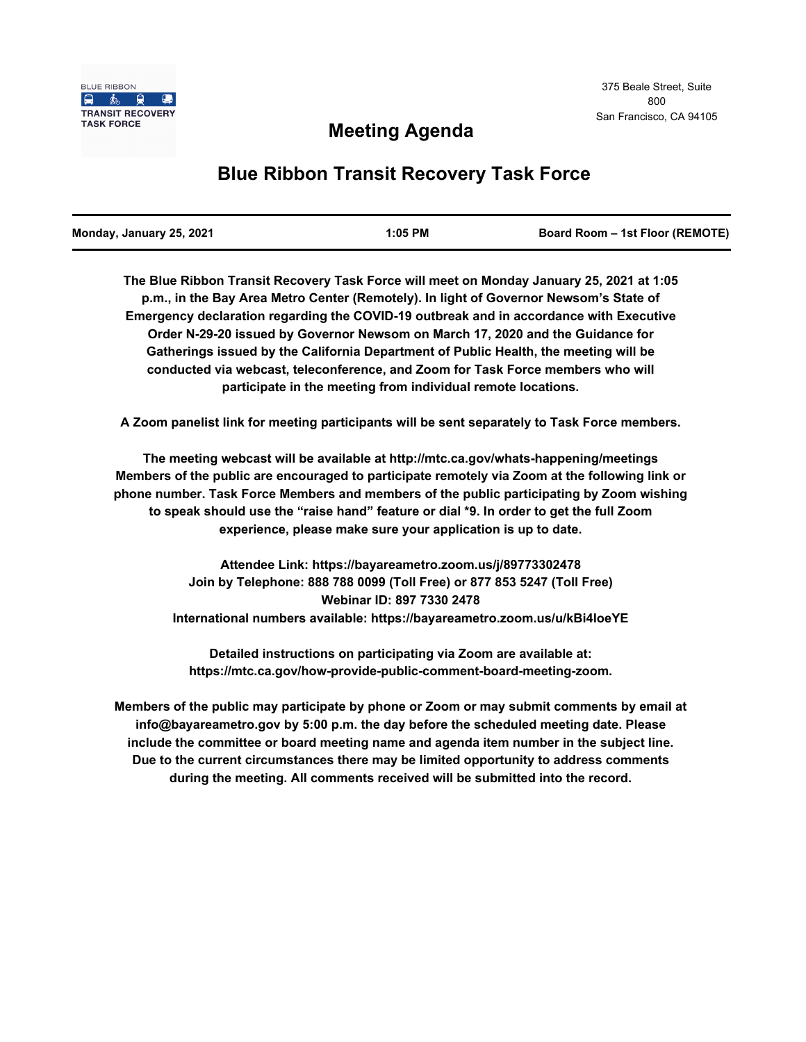

# **Meeting Agenda**

# **Blue Ribbon Transit Recovery Task Force**

| Monday, January 25, 2021 | $1:05$ PM | <b>Board Room - 1st Floor (REMOTE)</b> |
|--------------------------|-----------|----------------------------------------|
|                          |           |                                        |

**The Blue Ribbon Transit Recovery Task Force will meet on Monday January 25, 2021 at 1:05 p.m., in the Bay Area Metro Center (Remotely). In light of Governor Newsom's State of Emergency declaration regarding the COVID-19 outbreak and in accordance with Executive Order N-29-20 issued by Governor Newsom on March 17, 2020 and the Guidance for Gatherings issued by the California Department of Public Health, the meeting will be conducted via webcast, teleconference, and Zoom for Task Force members who will participate in the meeting from individual remote locations.** 

**A Zoom panelist link for meeting participants will be sent separately to Task Force members.**

**The meeting webcast will be available at http://mtc.ca.gov/whats-happening/meetings Members of the public are encouraged to participate remotely via Zoom at the following link or phone number. Task Force Members and members of the public participating by Zoom wishing to speak should use the "raise hand" feature or dial \*9. In order to get the full Zoom experience, please make sure your application is up to date.**

> **Attendee Link: https://bayareametro.zoom.us/j/89773302478 Join by Telephone: 888 788 0099 (Toll Free) or 877 853 5247 (Toll Free) Webinar ID: 897 7330 2478 International numbers available: https://bayareametro.zoom.us/u/kBi4loeYE**

**Detailed instructions on participating via Zoom are available at: https://mtc.ca.gov/how-provide-public-comment-board-meeting-zoom.**

**Members of the public may participate by phone or Zoom or may submit comments by email at info@bayareametro.gov by 5:00 p.m. the day before the scheduled meeting date. Please include the committee or board meeting name and agenda item number in the subject line. Due to the current circumstances there may be limited opportunity to address comments during the meeting. All comments received will be submitted into the record.**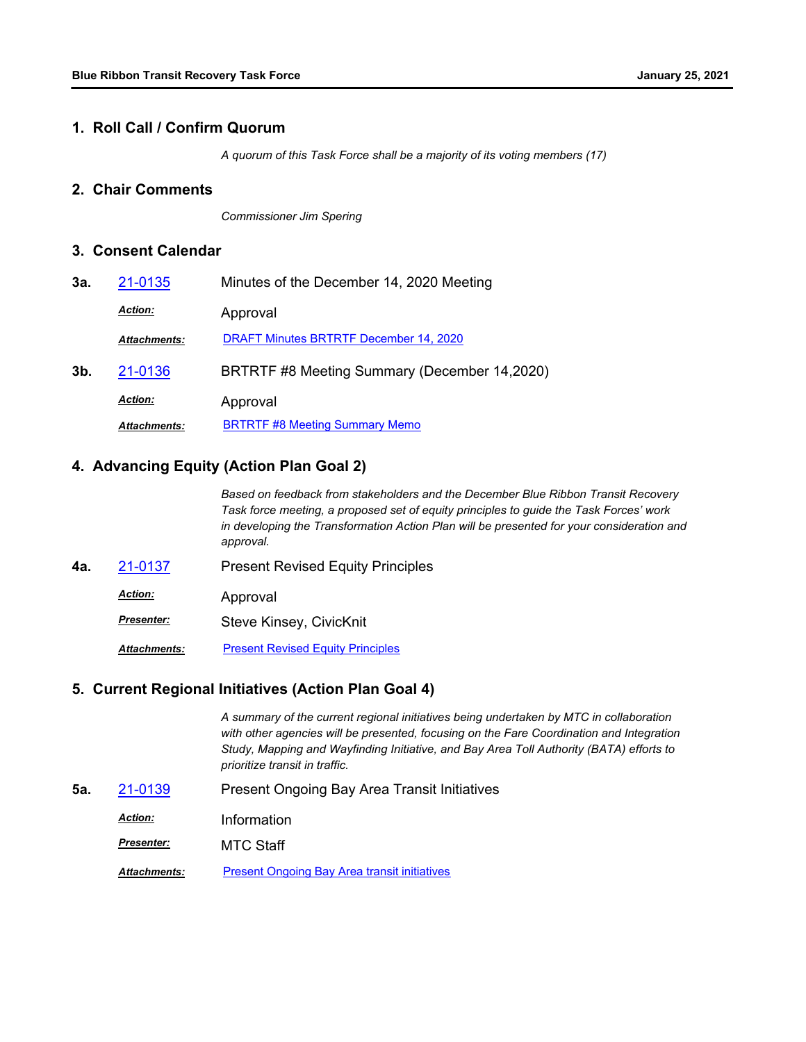#### **1. Roll Call / Confirm Quorum**

*A quorum of this Task Force shall be a majority of its voting members (17)*

#### **2. Chair Comments**

*Commissioner Jim Spering*

#### **3. Consent Calendar**

| 3а. | 21-0135             | Minutes of the December 14, 2020 Meeting      |
|-----|---------------------|-----------------------------------------------|
|     | <b>Action:</b>      | Approval                                      |
|     | <b>Attachments:</b> | <b>DRAFT Minutes BRTRTF December 14, 2020</b> |
| 3b. | 21-0136             | BRTRTF #8 Meeting Summary (December 14,2020)  |
|     | <b>Action:</b>      | Approval                                      |
|     | <b>Attachments:</b> | <b>BRTRTF #8 Meeting Summary Memo</b>         |

### **4. Advancing Equity (Action Plan Goal 2)**

*Based on feedback from stakeholders and the December Blue Ribbon Transit Recovery Task force meeting, a proposed set of equity principles to guide the Task Forces' work in developing the Transformation Action Plan will be presented for your consideration and approval.*

- **4a.** [21-0137](http://mtc.legistar.com/gateway.aspx?m=l&id=/matter.aspx?key=21730) Present Revised Equity Principles
	- Approval *Action:*
		- Steve Kinsey, CivicKnit *Presenter:*

*Attachments:* [Present Revised Equity Principles](http://mtc.legistar.com/gateway.aspx?M=F&ID=d798c495-e56b-4ae3-93ea-f28003b39978.pdf)

#### **5. Current Regional Initiatives (Action Plan Goal 4)**

*A summary of the current regional initiatives being undertaken by MTC in collaboration*  with other agencies will be presented, focusing on the Fare Coordination and Integration *Study, Mapping and Wayfinding Initiative, and Bay Area Toll Authority (BATA) efforts to prioritize transit in traffic.*

**5a.** [21-0139](http://mtc.legistar.com/gateway.aspx?m=l&id=/matter.aspx?key=21732) Present Ongoing Bay Area Transit Initiatives

*Action:* Information

MTC Staff *Presenter:*

*Attachments:* [Present Ongoing Bay Area transit initiatives](http://mtc.legistar.com/gateway.aspx?M=F&ID=7ffa56b4-ffff-4d82-9158-d42522a3ad54.pdf)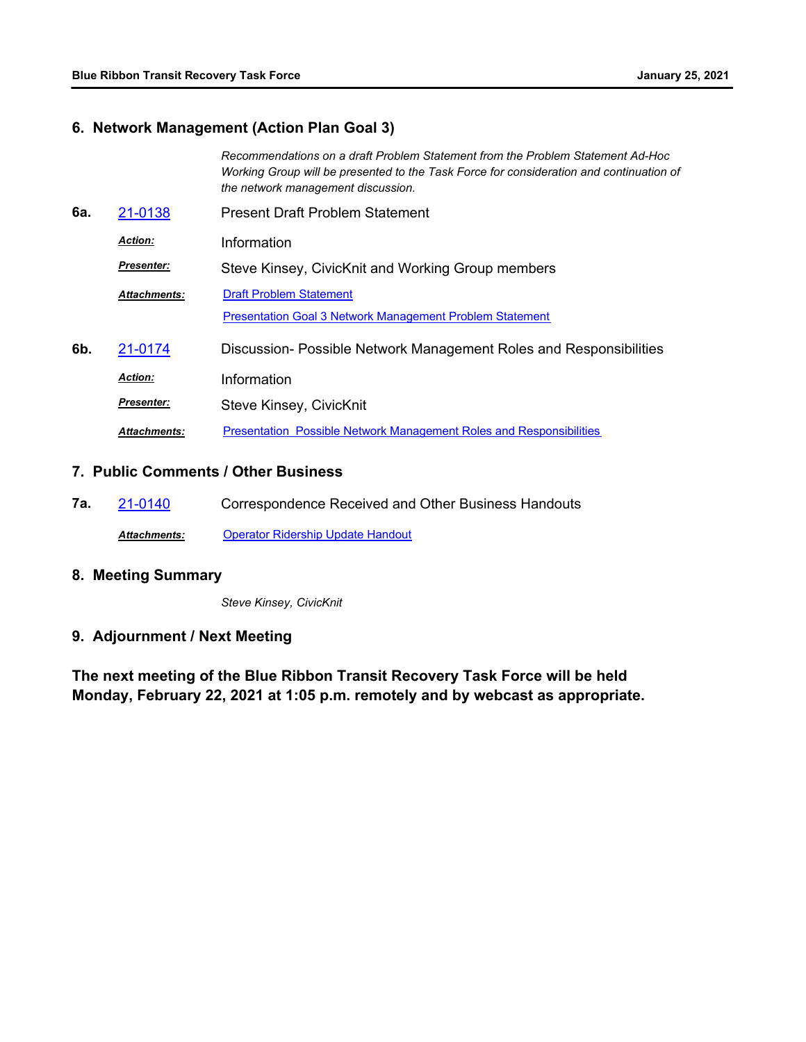# **6. Network Management (Action Plan Goal 3)**

|     |                     | Recommendations on a draft Problem Statement from the Problem Statement Ad-Hoc<br>Working Group will be presented to the Task Force for consideration and continuation of<br>the network management discussion. |
|-----|---------------------|-----------------------------------------------------------------------------------------------------------------------------------------------------------------------------------------------------------------|
| 6а. | 21-0138             | Present Draft Problem Statement                                                                                                                                                                                 |
|     | <b>Action:</b>      | Information                                                                                                                                                                                                     |
|     | <b>Presenter:</b>   | Steve Kinsey, CivicKnit and Working Group members                                                                                                                                                               |
|     | <b>Attachments:</b> | <b>Draft Problem Statement</b>                                                                                                                                                                                  |
|     |                     | <b>Presentation Goal 3 Network Management Problem Statement</b>                                                                                                                                                 |
| 6b. | 21-0174             | Discussion- Possible Network Management Roles and Responsibilities                                                                                                                                              |
|     | <b>Action:</b>      | Information                                                                                                                                                                                                     |
|     | <b>Presenter:</b>   | Steve Kinsey, CivicKnit                                                                                                                                                                                         |
|     | <b>Attachments:</b> | <b>Presentation Possible Network Management Roles and Responsibilities</b>                                                                                                                                      |

### **7. Public Comments / Other Business**

**7a.** [21-0140](http://mtc.legistar.com/gateway.aspx?m=l&id=/matter.aspx?key=21733) Correspondence Received and Other Business Handouts *Attachments:* [Operator Ridership Update Handout](http://mtc.legistar.com/gateway.aspx?M=F&ID=4045e393-5d17-4816-9142-68772c789e79.pdf)

# **8. Meeting Summary**

*Steve Kinsey, CivicKnit*

## **9. Adjournment / Next Meeting**

**The next meeting of the Blue Ribbon Transit Recovery Task Force will be held Monday, February 22, 2021 at 1:05 p.m. remotely and by webcast as appropriate.**